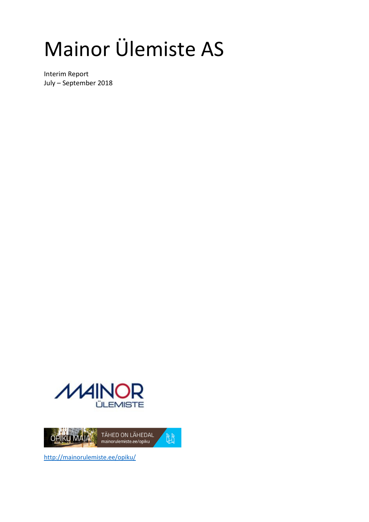# Mainor Ülemiste AS

Interim Report July – September 2018





http://mainorulemiste.ee/opiku/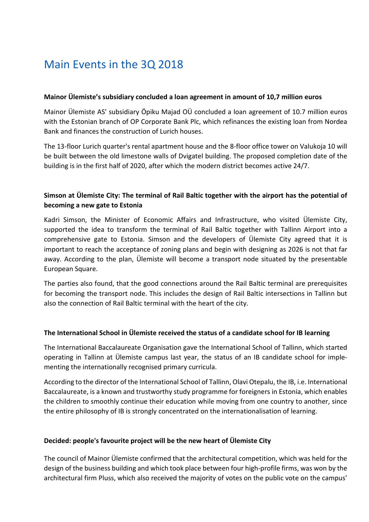### Main Events in the 3Q 2018

#### **Mainor Ülemiste's subsidiary concluded a loan agreement in amount of 10,7 million euros**

Mainor Ülemiste AS' subsidiary Öpiku Majad OÜ concluded a loan agreement of 10.7 million euros with the Estonian branch of OP Corporate Bank Plc, which refinances the existing loan from Nordea Bank and finances the construction of Lurich houses.

The 13-floor Lurich quarter's rental apartment house and the 8-floor office tower on Valukoja 10 will be built between the old limestone walls of Dvigatel building. The proposed completion date of the building is in the first half of 2020, after which the modern district becomes active 24/7.

#### **Simson at Ülemiste City: The terminal of Rail Baltic together with the airport has the potential of becoming a new gate to Estonia**

Kadri Simson, the Minister of Economic Affairs and Infrastructure, who visited Ülemiste City, supported the idea to transform the terminal of Rail Baltic together with Tallinn Airport into a comprehensive gate to Estonia. Simson and the developers of Ülemiste City agreed that it is important to reach the acceptance of zoning plans and begin with designing as 2026 is not that far away. According to the plan, Ülemiste will become a transport node situated by the presentable European Square.

The parties also found, that the good connections around the Rail Baltic terminal are prerequisites for becoming the transport node. This includes the design of Rail Baltic intersections in Tallinn but also the connection of Rail Baltic terminal with the heart of the city.

#### **The International School in Ülemiste received the status of a candidate school for IB learning**

The International Baccalaureate Organisation gave the International School of Tallinn, which started operating in Tallinn at Ülemiste campus last year, the status of an IB candidate school for implementing the internationally recognised primary curricula.

According to the director of the International School of Tallinn, Olavi Otepalu, the IB, i.e. International Baccalaureate, is a known and trustworthy study programme for foreigners in Estonia, which enables the children to smoothly continue their education while moving from one country to another, since the entire philosophy of IB is strongly concentrated on the internationalisation of learning.

#### **Decided: people's favourite project will be the new heart of Ülemiste City**

The council of Mainor Ülemiste confirmed that the architectural competition, which was held for the design of the business building and which took place between four high-profile firms, was won by the architectural firm Pluss, which also received the majority of votes on the public vote on the campus'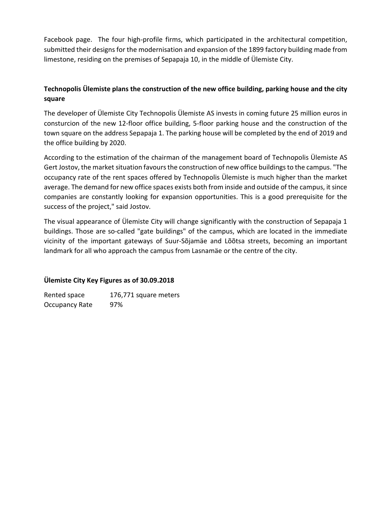Facebook page. The four high-profile firms, which participated in the architectural competition, submitted their designs for the modernisation and expansion of the 1899 factory building made from limestone, residing on the premises of Sepapaja 10, in the middle of Ülemiste City.

#### **Technopolis Ülemiste plans the construction of the new office building, parking house and the city square**

The developer of Ülemiste City Technopolis Ülemiste AS invests in coming future 25 million euros in consturcion of the new 12-floor office building, 5-floor parking house and the construction of the town square on the address Sepapaja 1. The parking house will be completed by the end of 2019 and the office building by 2020.

According to the estimation of the chairman of the management board of Technopolis Ülemiste AS Gert Jostov, the market situation favours the construction of new office buildings to the campus. "The occupancy rate of the rent spaces offered by Technopolis Ülemiste is much higher than the market average. The demand for new office spaces exists both from inside and outside of the campus, it since companies are constantly looking for expansion opportunities. This is a good prerequisite for the success of the project," said Jostov.

The visual appearance of Ülemiste City will change significantly with the construction of Sepapaja 1 buildings. Those are so-called "gate buildings" of the campus, which are located in the immediate vicinity of the important gateways of Suur-Sõjamäe and Lõõtsa streets, becoming an important landmark for all who approach the campus from Lasnamäe or the centre of the city.

#### **Ülemiste City Key Figures as of 30.09.2018**

Rented space 176,771 square meters Occupancy Rate 97%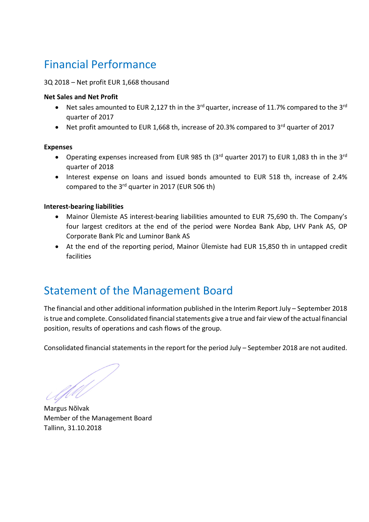## Financial Performance

#### 3Q 2018 – Net profit EUR 1,668 thousand

#### **Net Sales and Net Profit**

- Net sales amounted to EUR 2,127 th in the  $3^{rd}$  quarter, increase of 11.7% compared to the  $3^{rd}$ quarter of 2017
- Net profit amounted to EUR 1,668 th, increase of 20.3% compared to 3<sup>rd</sup> quarter of 2017

#### **Expenses**

- Operating expenses increased from EUR 985 th (3<sup>rd</sup> quarter 2017) to EUR 1,083 th in the 3<sup>rd</sup> quarter of 2018
- Interest expense on loans and issued bonds amounted to EUR 518 th, increase of 2.4% compared to the 3rd quarter in 2017 (EUR 506 th)

#### **Interest-bearing liabilities**

- Mainor Ülemiste AS interest-bearing liabilities amounted to EUR 75,690 th. The Company's four largest creditors at the end of the period were Nordea Bank Abp, LHV Pank AS, OP Corporate Bank Plc and Luminor Bank AS
- At the end of the reporting period, Mainor Ülemiste had EUR 15,850 th in untapped credit facilities

### Statement of the Management Board

The financial and other additional information published in the Interim Report July – September 2018 is true and complete. Consolidated financial statements give a true and fair view of the actual financial position, results of operations and cash flows of the group.

Consolidated financial statements in the report for the period July – September 2018 are not audited.

**Margus Nõlvak** 

Member of the Management Board Tallinn, 31.10.2018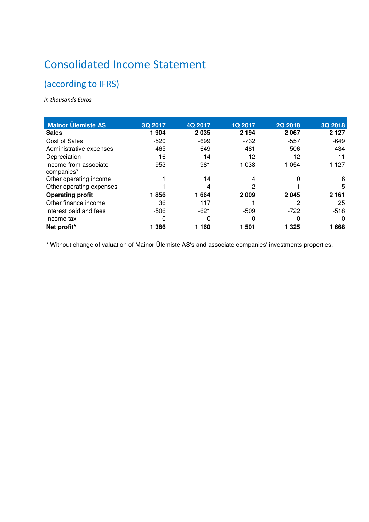# Consolidated Income Statement

### (according to IFRS)

*In thousands Euros* 

| <b>Mainor Ülemiste AS</b>           | 3Q 2017 | 4Q 2017 | <b>1Q 2017</b> | <b>2Q 2018</b> | 3Q 2018  |
|-------------------------------------|---------|---------|----------------|----------------|----------|
| <b>Sales</b>                        | 1904    | 2035    | 2 1 9 4        | 2 0 6 7        | 2 1 2 7  |
| <b>Cost of Sales</b>                | $-520$  | $-699$  | $-732$         | $-557$         | $-649$   |
| Administrative expenses             | $-465$  | $-649$  | $-481$         | $-506$         | $-434$   |
| Depreciation                        | $-16$   | $-14$   | $-12$          | $-12$          | $-11$    |
| Income from associate<br>companies* | 953     | 981     | 1 0 3 8        | 1 0 5 4        | 1 1 2 7  |
| Other operating income              |         | 14      |                | 0              | 6        |
| Other operating expenses            | -1      | -4      | -2             | - 1            | -5       |
| <b>Operating profit</b>             | 1856    | 1664    | 2 0 0 9        | 2 0 4 5        | 2 1 6 1  |
| Other finance income                | 36      | 117     |                | 2              | 25       |
| Interest paid and fees              | $-506$  | $-621$  | $-509$         | $-722$         | $-518$   |
| Income tax                          | 0       | 0       | 0              | 0              | $\Omega$ |
| Net profit*                         | 386     | 1 160   | 501            | 325            | 1668     |

\* Without change of valuation of Mainor Ülemiste AS's and associate companies' investments properties.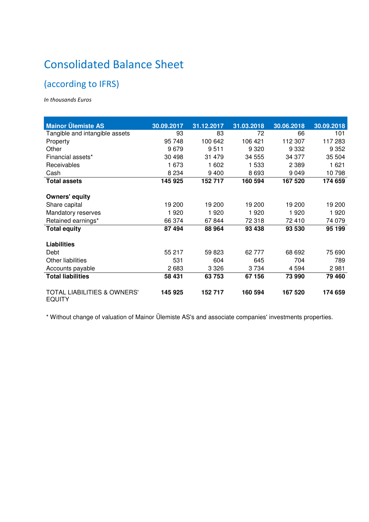# Consolidated Balance Sheet

### (according to IFRS)

*In thousands Euros* 

| <b>Mainor Ülemiste AS</b>                               | 30.09.2017 | 31.12.2017 | 31.03.2018 | 30.06.2018 | 30.09.2018 |
|---------------------------------------------------------|------------|------------|------------|------------|------------|
| Tangible and intangible assets                          | 93         | 83         | 72         | 66         | 101        |
| Property                                                | 95 748     | 100 642    | 106 421    | 112 307    | 117 283    |
| Other                                                   | 9679       | 9511       | 9 3 2 0    | 9 3 3 2    | 9 3 5 2    |
| Financial assets*                                       | 30 498     | 31 479     | 34 555     | 34 377     | 35 504     |
| Receivables                                             | 1 673      | 1 602      | 1 533      | 2 3 8 9    | 1 621      |
| Cash                                                    | 8 2 3 4    | 9400       | 8693       | 9 0 4 9    | 10798      |
| <b>Total assets</b>                                     | 145 925    | 152 717    | 160 594    | 167 520    | 174 659    |
|                                                         |            |            |            |            |            |
| <b>Owners' equity</b>                                   |            |            |            |            |            |
| Share capital                                           | 19 200     | 19 200     | 19 200     | 19 200     | 19 200     |
| Mandatory reserves                                      | 1920       | 1920       | 1920       | 1920       | 1920       |
| Retained earnings*                                      | 66 374     | 67844      | 72 318     | 72 410     | 74 0 79    |
| <b>Total equity</b>                                     | 87 494     | 88 964     | 93 438     | 93 530     | 95 199     |
|                                                         |            |            |            |            |            |
| <b>Liabilities</b>                                      |            |            |            |            |            |
| Debt                                                    | 55 217     | 59 823     | 62 777     | 68 692     | 75 690     |
| <b>Other liabilities</b>                                | 531        | 604        | 645        | 704        | 789        |
| Accounts payable                                        | 2683       | 3 3 2 6    | 3 7 3 4    | 4 5 9 4    | 2981       |
| <b>Total liabilities</b>                                | 58 431     | 63753      | 67 156     | 73 990     | 79 460     |
|                                                         |            |            |            |            |            |
| <b>TOTAL LIABILITIES &amp; OWNERS'</b><br><b>EQUITY</b> | 145 925    | 152 717    | 160 594    | 167 520    | 174 659    |

\* Without change of valuation of Mainor Ülemiste AS's and associate companies' investments properties.